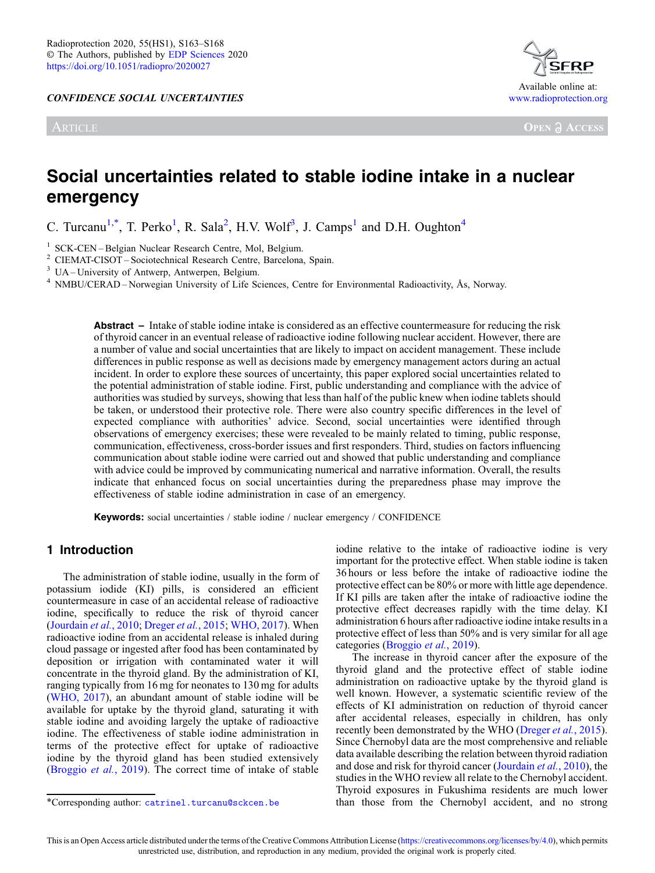CONFIDENCE SOCIAL UNCERTAINTIES

ARTICLE



**OPEN A ACCESS** 

# Social uncertainties related to stable iodine intake in a nuclear emergency

C. Turcanu<sup>1,\*</sup>, T. Perko<sup>1</sup>, R. Sala<sup>2</sup>, H.V. Wolf<sup>3</sup>, J. Camps<sup>1</sup> and D.H. Oughton<sup>4</sup>

<sup>1</sup> SCK-CEN – Belgian Nuclear Research Centre, Mol, Belgium.<br>
<sup>2</sup> CIEMAT-CISOT – Sociotechnical Research Centre, Barcelona, Spain.<br>
<sup>3</sup> UA – University of Antwerp, Antwerpen, Belgium.<br>
<sup>4</sup> NMBU/CERAD – Norwegian Universit

Abstract – Intake of stable iodine intake is considered as an effective countermeasure for reducing the risk of thyroid cancer in an eventual release of radioactive iodine following nuclear accident. However, there are a number of value and social uncertainties that are likely to impact on accident management. These include differences in public response as well as decisions made by emergency management actors during an actual incident. In order to explore these sources of uncertainty, this paper explored social uncertainties related to the potential administration of stable iodine. First, public understanding and compliance with the advice of authorities was studied by surveys, showing that less than half of the public knew when iodine tablets should be taken, or understood their protective role. There were also country specific differences in the level of expected compliance with authorities' advice. Second, social uncertainties were identified through observations of emergency exercises; these were revealed to be mainly related to timing, public response, communication, effectiveness, cross-border issues and first responders. Third, studies on factors influencing communication about stable iodine were carried out and showed that public understanding and compliance with advice could be improved by communicating numerical and narrative information. Overall, the results indicate that enhanced focus on social uncertainties during the preparedness phase may improve the effectiveness of stable iodine administration in case of an emergency.

Keywords: social uncertainties / stable iodine / nuclear emergency / CONFIDENCE

#### 1 Introduction

The administration of stable iodine, usually in the form of potassium iodide (KI) pills, is considered an efficient countermeasure in case of an accidental release of radioactive iodine, specifically to reduce the risk of thyroid cancer ([Jourdain](#page-5-0) et al., 2010; [Dreger](#page-5-0) et al., 2015; [WHO, 2017](#page-5-0)). When radioactive iodine from an accidental release is inhaled during cloud passage or ingested after food has been contaminated by deposition or irrigation with contaminated water it will concentrate in the thyroid gland. By the administration of KI, ranging typically from 16 mg for neonates to 130 mg for adults ([WHO, 2017\)](#page-5-0), an abundant amount of stable iodine will be available for uptake by the thyroid gland, saturating it with stable iodine and avoiding largely the uptake of radioactive iodine. The effectiveness of stable iodine administration in terms of the protective effect for uptake of radioactive iodine by the thyroid gland has been studied extensively ([Broggio](#page-5-0) et al., 2019). The correct time of intake of stable iodine relative to the intake of radioactive iodine is very important for the protective effect. When stable iodine is taken 36 hours or less before the intake of radioactive iodine the protective effect can be 80% or more with little age dependence. If KI pills are taken after the intake of radioactive iodine the protective effect decreases rapidly with the time delay. KI administration 6 hours after radioactive iodine intake results in a protective effect of less than 50% and is very similar for all age categories [\(Broggio](#page-5-0) et al., 2019).

The increase in thyroid cancer after the exposure of the thyroid gland and the protective effect of stable iodine administration on radioactive uptake by the thyroid gland is well known. However, a systematic scientific review of the effects of KI administration on reduction of thyroid cancer after accidental releases, especially in children, has only recently been demonstrated by the WHO ([Dreger](#page-5-0) *et al.*, 2015). Since Chernobyl data are the most comprehensive and reliable data available describing the relation between thyroid radiation and dose and risk for thyroid cancer [\(Jourdain](#page-5-0) et al., 2010), the studies in the WHO review all relate to the Chernobyl accident. Thyroid exposures in Fukushima residents are much lower \*Corresponding author: [catrinel.turcanu@sckcen.be](mailto:catrinel.turcanu@sckcen.be) than those from the Chernobyl accident, and no strong

This is an Open Access article distributed under the terms of the Creative Commons Attribution License ([https://creativecommons.org/licenses/by/4.0\)](https://creativecommons.org/licenses/by/4.0), which permits unrestricted use, distribution, and reproduction in any medium, provided the original work is properly cited.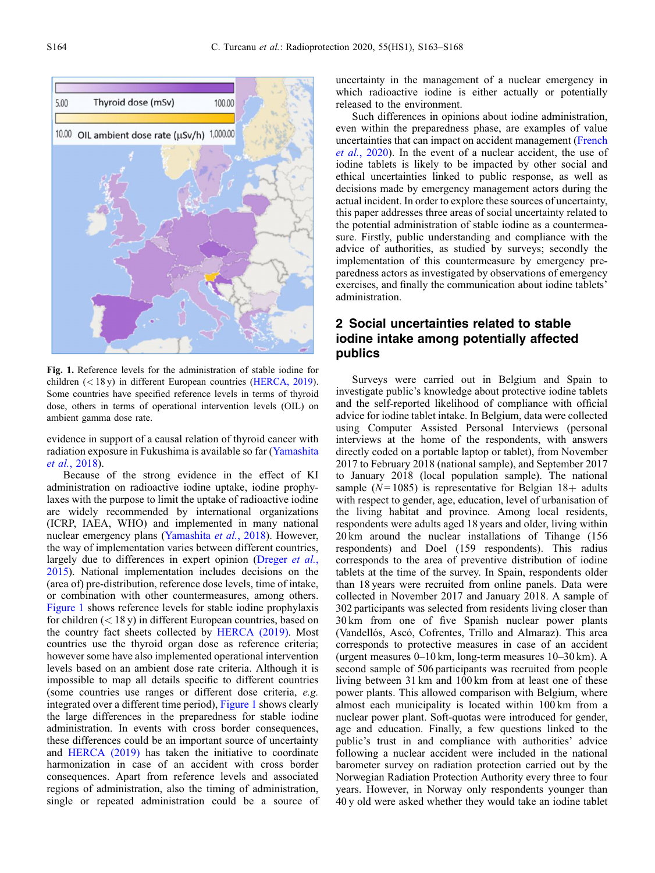

Fig. 1. Reference levels for the administration of stable iodine for children (< 18 y) in different European countries ([HERCA, 2019\)](#page-5-0). Some countries have specified reference levels in terms of thyroid dose, others in terms of operational intervention levels (OIL) on ambient gamma dose rate.

evidence in support of a causal relation of thyroid cancer with radiation exposure in Fukushima is available so far [\(Yamashita](#page-5-0) et al.[, 2018](#page-5-0)).

Because of the strong evidence in the effect of KI administration on radioactive iodine uptake, iodine prophylaxes with the purpose to limit the uptake of radioactive iodine are widely recommended by international organizations (ICRP, IAEA, WHO) and implemented in many national nuclear emergency plans [\(Yamashita](#page-5-0) et al., 2018). However, the way of implementation varies between different countries, largely due to differences in expert opinion ([Dreger](#page-5-0) et al., [2015](#page-5-0)). National implementation includes decisions on the (area of) pre-distribution, reference dose levels, time of intake, or combination with other countermeasures, among others. Figure 1 shows reference levels for stable iodine prophylaxis for children  $(< 18 y)$  in different European countries, based on the country fact sheets collected by [HERCA \(2019\)](#page-5-0). Most countries use the thyroid organ dose as reference criteria; however some have also implemented operational intervention levels based on an ambient dose rate criteria. Although it is impossible to map all details specific to different countries (some countries use ranges or different dose criteria, e.g. integrated over a different time period), Figure 1 shows clearly the large differences in the preparedness for stable iodine administration. In events with cross border consequences, these differences could be an important source of uncertainty and [HERCA \(2019\)](#page-5-0) has taken the initiative to coordinate harmonization in case of an accident with cross border consequences. Apart from reference levels and associated regions of administration, also the timing of administration, single or repeated administration could be a source of uncertainty in the management of a nuclear emergency in which radioactive iodine is either actually or potentially released to the environment.

Such differences in opinions about iodine administration, even within the preparedness phase, are examples of value uncertainties that can impact on accident management [\(French](#page-5-0) et al.[, 2020](#page-5-0)). In the event of a nuclear accident, the use of iodine tablets is likely to be impacted by other social and ethical uncertainties linked to public response, as well as decisions made by emergency management actors during the actual incident. In order to explore these sources of uncertainty, this paper addresses three areas of social uncertainty related to the potential administration of stable iodine as a countermeasure. Firstly, public understanding and compliance with the advice of authorities, as studied by surveys; secondly the implementation of this countermeasure by emergency preparedness actors as investigated by observations of emergency exercises, and finally the communication about iodine tablets' administration.

## 2 Social uncertainties related to stable iodine intake among potentially affected publics

Surveys were carried out in Belgium and Spain to investigate public's knowledge about protective iodine tablets and the self-reported likelihood of compliance with official advice for iodine tablet intake. In Belgium, data were collected using Computer Assisted Personal Interviews (personal interviews at the home of the respondents, with answers directly coded on a portable laptop or tablet), from November 2017 to February 2018 (national sample), and September 2017 to January 2018 (local population sample). The national sample ( $N = 1085$ ) is representative for Belgian  $18+$  adults with respect to gender, age, education, level of urbanisation of the living habitat and province. Among local residents, respondents were adults aged 18 years and older, living within 20 km around the nuclear installations of Tihange (156 respondents) and Doel (159 respondents). This radius corresponds to the area of preventive distribution of iodine tablets at the time of the survey. In Spain, respondents older than 18 years were recruited from online panels. Data were collected in November 2017 and January 2018. A sample of 302 participants was selected from residents living closer than 30 km from one of five Spanish nuclear power plants (Vandellós, Ascó, Cofrentes, Trillo and Almaraz). This area corresponds to protective measures in case of an accident (urgent measures 0–10 km, long-term measures 10–30 km). A second sample of 506 participants was recruited from people living between 31 km and 100 km from at least one of these power plants. This allowed comparison with Belgium, where almost each municipality is located within 100 km from a nuclear power plant. Soft-quotas were introduced for gender, age and education. Finally, a few questions linked to the public's trust in and compliance with authorities' advice following a nuclear accident were included in the national barometer survey on radiation protection carried out by the Norwegian Radiation Protection Authority every three to four years. However, in Norway only respondents younger than 40 y old were asked whether they would take an iodine tablet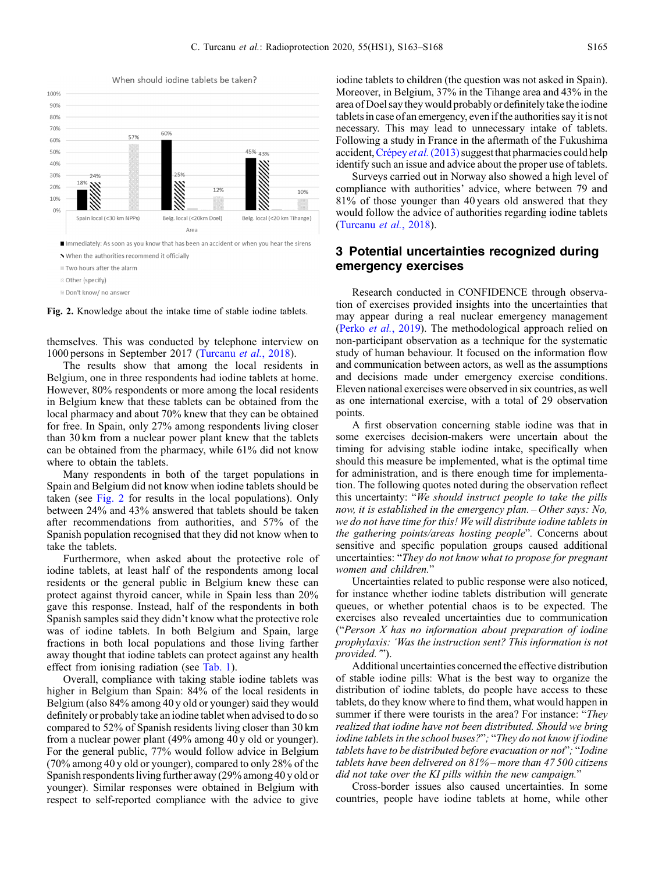



Fig. 2. Knowledge about the intake time of stable iodine tablets.

themselves. This was conducted by telephone interview on 1000 persons in September 2017 [\(Turcanu](#page-5-0) et al., 2018).

The results show that among the local residents in Belgium, one in three respondents had iodine tablets at home. However, 80% respondents or more among the local residents in Belgium knew that these tablets can be obtained from the local pharmacy and about 70% knew that they can be obtained for free. In Spain, only 27% among respondents living closer than 30 km from a nuclear power plant knew that the tablets can be obtained from the pharmacy, while 61% did not know where to obtain the tablets.

Many respondents in both of the target populations in Spain and Belgium did not know when iodine tablets should be taken (see Fig. 2 for results in the local populations). Only between 24% and 43% answered that tablets should be taken after recommendations from authorities, and 57% of the Spanish population recognised that they did not know when to take the tablets.

Furthermore, when asked about the protective role of iodine tablets, at least half of the respondents among local residents or the general public in Belgium knew these can protect against thyroid cancer, while in Spain less than 20% gave this response. Instead, half of the respondents in both Spanish samples said they didn't know what the protective role was of iodine tablets. In both Belgium and Spain, large fractions in both local populations and those living farther away thought that iodine tablets can protect against any health effect from ionising radiation (see [Tab. 1](#page-3-0)).

Overall, compliance with taking stable iodine tablets was higher in Belgium than Spain: 84% of the local residents in Belgium (also 84% among 40 y old or younger) said they would definitely or probably take an iodine tablet when advised to do so compared to 52% of Spanish residents living closer than 30 km from a nuclear power plant (49% among 40 y old or younger). For the general public, 77% would follow advice in Belgium (70% among 40 y old or younger), compared to only 28% of the Spanish respondents living further away (29% among 40 y old or younger). Similar responses were obtained in Belgium with respect to self-reported compliance with the advice to give iodine tablets to children (the question was not asked in Spain). Moreover, in Belgium, 37% in the Tihange area and 43% in the area of Doel saythey would probably or definitelytaketheiodine tablets in case of an emergency, even if the authorities say it is not necessary. This may lead to unnecessary intake of tablets. Following a study in France in the aftermath of the Fukushima accident, [Crépey](#page-5-0) et al.  $(2013)$  suggest that pharmacies could help identify such an issue and advice about the proper use of tablets.

Surveys carried out in Norway also showed a high level of compliance with authorities' advice, where between 79 and 81% of those younger than 40 years old answered that they would follow the advice of authorities regarding iodine tablets ([Turcanu](#page-5-0) et al., 2018).

## 3 Potential uncertainties recognized during emergency exercises

Research conducted in CONFIDENCE through observation of exercises provided insights into the uncertainties that may appear during a real nuclear emergency management (Perko et al.[, 2019\)](#page-5-0). The methodological approach relied on non-participant observation as a technique for the systematic study of human behaviour. It focused on the information flow and communication between actors, as well as the assumptions and decisions made under emergency exercise conditions. Eleven national exercises were observed in six countries, as well as one international exercise, with a total of 29 observation points.

A first observation concerning stable iodine was that in some exercises decision-makers were uncertain about the timing for advising stable iodine intake, specifically when should this measure be implemented, what is the optimal time for administration, and is there enough time for implementation. The following quotes noted during the observation reflect this uncertainty: "We should instruct people to take the pills now, it is established in the emergency plan. – Other says: No, we do not have time for this! We will distribute iodine tablets in the gathering points/areas hosting people". Concerns about sensitive and specific population groups caused additional uncertainties: "They do not know what to propose for pregnant women and children."

Uncertainties related to public response were also noticed, for instance whether iodine tablets distribution will generate queues, or whether potential chaos is to be expected. The exercises also revealed uncertainties due to communication ("Person X has no information about preparation of iodine prophylaxis: 'Was the instruction sent? This information is not provided.").

Additional uncertainties concerned the effective distribution of stable iodine pills: What is the best way to organize the distribution of iodine tablets, do people have access to these tablets, do they know where to find them, what would happen in summer if there were tourists in the area? For instance: "They realized that iodine have not been distributed. Should we bring iodine tablets in the school buses?"; "They do not know if iodine tablets have to be distributed before evacuation or not"; "Iodine tablets have been delivered on 81% – more than 47 500 citizens did not take over the KI pills within the new campaign."

Cross-border issues also caused uncertainties. In some countries, people have iodine tablets at home, while other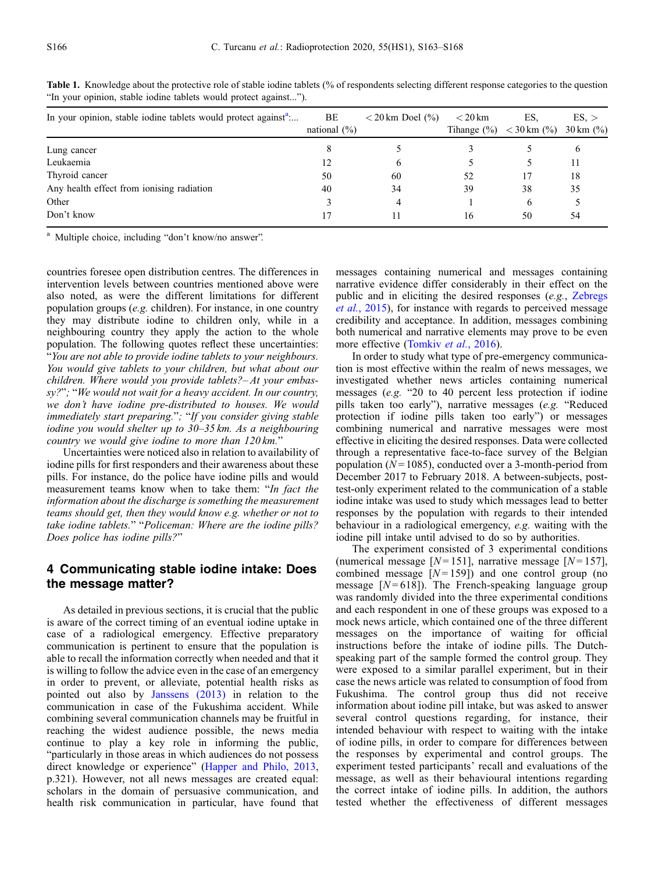| In your opinion, stable iodine tablets would protect against <sup>a</sup> | BE<br>national $(\% )$ | $<$ 20 km Doel $\left(\frac{9}{0}\right)$ | $<$ 20 km<br>Tihange $(\% )$ | ES.<br>$<$ 30 km $\left(\% \right)$ | ES. ><br>$30 \text{ km } (^{\circ}\!\!/_{0})$ |
|---------------------------------------------------------------------------|------------------------|-------------------------------------------|------------------------------|-------------------------------------|-----------------------------------------------|
| Lung cancer                                                               | Ō                      |                                           |                              |                                     | b                                             |
| Leukaemia                                                                 |                        | 6                                         |                              |                                     | 11                                            |
| Thyroid cancer                                                            | 50                     | 60                                        | 52                           | 17                                  | 18                                            |
| Any health effect from ionising radiation                                 | 40                     | 34                                        | 39                           | 38                                  | 35                                            |
| Other                                                                     |                        | $\overline{4}$                            |                              | 6                                   |                                               |
| Don't know                                                                |                        |                                           | 16                           | 50                                  | 54                                            |

<span id="page-3-0"></span>Table 1. Knowledge about the protective role of stable iodine tablets (% of respondents selecting different response categories to the question "In your opinion, stable iodine tablets would protect against...").

<sup>a</sup> Multiple choice, including "don't know/no answer".

countries foresee open distribution centres. The differences in intervention levels between countries mentioned above were also noted, as were the different limitations for different population groups (e.g. children). For instance, in one country they may distribute iodine to children only, while in a neighbouring country they apply the action to the whole population. The following quotes reflect these uncertainties: "You are not able to provide iodine tablets to your neighbours. You would give tablets to your children, but what about our children. Where would you provide tablets?– At your embassy?"; "We would not wait for a heavy accident. In our country, we don't have iodine pre-distributed to houses. We would immediately start preparing."; "If you consider giving stable iodine you would shelter up to 30–35 km. As a neighbouring country we would give iodine to more than 120 km."

Uncertainties were noticed also in relation to availability of iodine pills for first responders and their awareness about these pills. For instance, do the police have iodine pills and would measurement teams know when to take them: "In fact the information about the discharge is something the measurement teams should get, then they would know e.g. whether or not to take iodine tablets." "Policeman: Where are the iodine pills? Does police has iodine pills?"

### 4 Communicating stable iodine intake: Does the message matter?

As detailed in previous sections, it is crucial that the public is aware of the correct timing of an eventual iodine uptake in case of a radiological emergency. Effective preparatory communication is pertinent to ensure that the population is able to recall the information correctly when needed and that it is willing to follow the advice even in the case of an emergency in order to prevent, or alleviate, potential health risks as pointed out also by [Janssens \(2013\)](#page-5-0) in relation to the communication in case of the Fukushima accident. While combining several communication channels may be fruitful in reaching the widest audience possible, the news media continue to play a key role in informing the public, "particularly in those areas in which audiences do not possess direct knowledge or experience" [\(Happer and Philo, 2013](#page-5-0), p.321). However, not all news messages are created equal: scholars in the domain of persuasive communication, and health risk communication in particular, have found that

messages containing numerical and messages containing narrative evidence differ considerably in their effect on the public and in eliciting the desired responses (e.g., [Zebregs](#page-5-0) et al.[, 2015](#page-5-0)), for instance with regards to perceived message credibility and acceptance. In addition, messages combining both numerical and narrative elements may prove to be even more effective ([Tomkiv](#page-5-0) et al., 2016).

In order to study what type of pre-emergency communication is most effective within the realm of news messages, we investigated whether news articles containing numerical messages (e.g. "20 to 40 percent less protection if iodine pills taken too early"), narrative messages (e.g. "Reduced protection if iodine pills taken too early") or messages combining numerical and narrative messages were most effective in eliciting the desired responses. Data were collected through a representative face-to-face survey of the Belgian population ( $N = 1085$ ), conducted over a 3-month-period from December 2017 to February 2018. A between-subjects, posttest-only experiment related to the communication of a stable iodine intake was used to study which messages lead to better responses by the population with regards to their intended behaviour in a radiological emergency, e.g. waiting with the iodine pill intake until advised to do so by authorities.

The experiment consisted of 3 experimental conditions (numerical message  $[N=151]$ , narrative message  $[N=157]$ , combined message  $[N=159]$  and one control group (no message  $[N=618]$ ). The French-speaking language group was randomly divided into the three experimental conditions and each respondent in one of these groups was exposed to a mock news article, which contained one of the three different messages on the importance of waiting for official instructions before the intake of iodine pills. The Dutchspeaking part of the sample formed the control group. They were exposed to a similar parallel experiment, but in their case the news article was related to consumption of food from Fukushima. The control group thus did not receive information about iodine pill intake, but was asked to answer several control questions regarding, for instance, their intended behaviour with respect to waiting with the intake of iodine pills, in order to compare for differences between the responses by experimental and control groups. The experiment tested participants' recall and evaluations of the message, as well as their behavioural intentions regarding the correct intake of iodine pills. In addition, the authors tested whether the effectiveness of different messages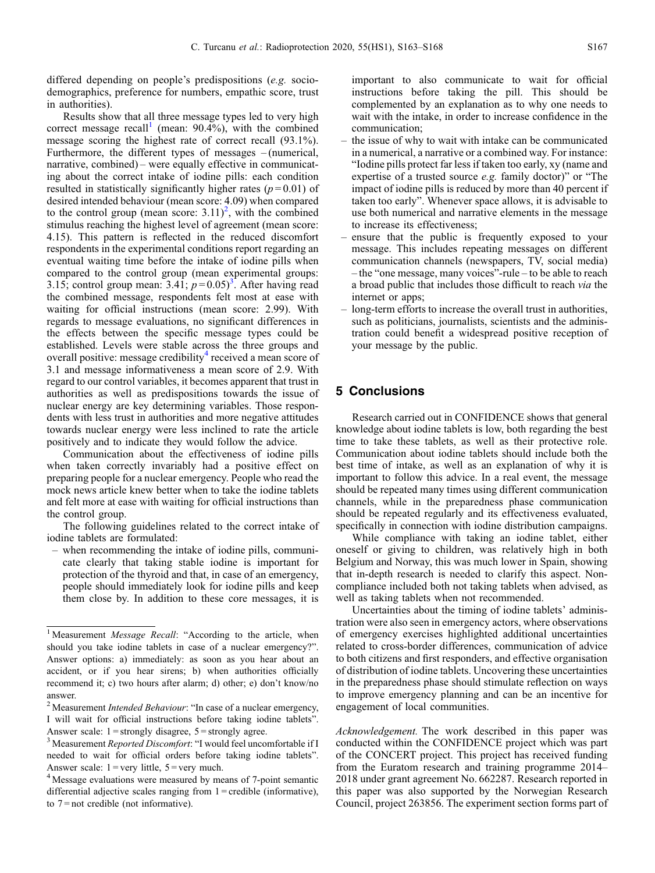differed depending on people's predispositions (e.g. sociodemographics, preference for numbers, empathic score, trust in authorities).

Results show that all three message types led to very high correct message recall<sup>1</sup> (mean:  $90.4\%$ ), with the combined message scoring the highest rate of correct recall (93.1%). Furthermore, the different types of messages – (numerical, narrative, combined) – were equally effective in communicating about the correct intake of iodine pills: each condition resulted in statistically significantly higher rates ( $p = 0.01$ ) of desired intended behaviour (mean score: 4.09) when compared to the control group (mean score:  $3.11$ )<sup>2</sup>, with the combined stimulus reaching the highest level of agreement (mean score: 4.15). This pattern is reflected in the reduced discomfort respondents in the experimental conditions report regarding an eventual waiting time before the intake of iodine pills when compared to the control group (mean experimental groups: 3.15; control group mean: 3.41;  $p=0.05$ <sup>3</sup>. After having read the combined message, respondents felt most at ease with waiting for official instructions (mean score: 2.99). With regards to message evaluations, no significant differences in the effects between the specific message types could be established. Levels were stable across the three groups and overall positive: message credibility<sup>4</sup> received a mean score of 3.1 and message informativeness a mean score of 2.9. With regard to our control variables, it becomes apparent that trust in authorities as well as predispositions towards the issue of nuclear energy are key determining variables. Those respondents with less trust in authorities and more negative attitudes towards nuclear energy were less inclined to rate the article positively and to indicate they would follow the advice.

Communication about the effectiveness of iodine pills when taken correctly invariably had a positive effect on preparing people for a nuclear emergency. People who read the mock news article knew better when to take the iodine tablets and felt more at ease with waiting for official instructions than the control group.

The following guidelines related to the correct intake of iodine tablets are formulated:

– when recommending the intake of iodine pills, communicate clearly that taking stable iodine is important for protection of the thyroid and that, in case of an emergency, people should immediately look for iodine pills and keep them close by. In addition to these core messages, it is important to also communicate to wait for official instructions before taking the pill. This should be complemented by an explanation as to why one needs to wait with the intake, in order to increase confidence in the communication;

- the issue of why to wait with intake can be communicated in a numerical, a narrative or a combined way. For instance: "Iodine pills protect far less if taken too early, xy (name and expertise of a trusted source e.g. family doctor)" or "The impact of iodine pills is reduced by more than 40 percent if taken too early". Whenever space allows, it is advisable to use both numerical and narrative elements in the message to increase its effectiveness;
- ensure that the public is frequently exposed to your message. This includes repeating messages on different communication channels (newspapers, TV, social media) – the "one message, many voices"-rule – to be able to reach a broad public that includes those difficult to reach via the internet or apps;
- long-term efforts to increase the overall trust in authorities, such as politicians, journalists, scientists and the administration could benefit a widespread positive reception of your message by the public.

#### 5 Conclusions

Research carried out in CONFIDENCE shows that general knowledge about iodine tablets is low, both regarding the best time to take these tablets, as well as their protective role. Communication about iodine tablets should include both the best time of intake, as well as an explanation of why it is important to follow this advice. In a real event, the message should be repeated many times using different communication channels, while in the preparedness phase communication should be repeated regularly and its effectiveness evaluated, specifically in connection with iodine distribution campaigns.

While compliance with taking an iodine tablet, either oneself or giving to children, was relatively high in both Belgium and Norway, this was much lower in Spain, showing that in-depth research is needed to clarify this aspect. Noncompliance included both not taking tablets when advised, as well as taking tablets when not recommended.

Uncertainties about the timing of iodine tablets' administration were also seen in emergency actors, where observations of emergency exercises highlighted additional uncertainties related to cross-border differences, communication of advice to both citizens and first responders, and effective organisation of distribution of iodine tablets. Uncovering these uncertainties in the preparedness phase should stimulate reflection on ways to improve emergency planning and can be an incentive for engagement of local communities.

Acknowledgement. The work described in this paper was conducted within the CONFIDENCE project which was part of the CONCERT project. This project has received funding from the Euratom research and training programme 2014– 2018 under grant agreement No. 662287. Research reported in this paper was also supported by the Norwegian Research Council, project 263856. The experiment section forms part of

<sup>&</sup>lt;sup>1</sup> Measurement *Message Recall*: "According to the article, when should you take iodine tablets in case of a nuclear emergency?". Answer options: a) immediately: as soon as you hear about an accident, or if you hear sirens; b) when authorities officially recommend it; c) two hours after alarm; d) other; e) don't know/no answer.

<sup>&</sup>lt;sup>2</sup> Measurement *Intended Behaviour*: "In case of a nuclear emergency, I will wait for official instructions before taking iodine tablets". Answer scale:  $1 =$ strongly disagree,  $5 =$ strongly agree.

<sup>&</sup>lt;sup>3</sup> Measurement Reported Discomfort: "I would feel uncomfortable if I needed to wait for official orders before taking iodine tablets". Answer scale:  $1 = \text{very little}, 5 = \text{very much}.$ 

<sup>4</sup> Message evaluations were measured by means of 7-point semantic differential adjective scales ranging from  $1 =$  credible (informative), to  $7 = not$  credible (not informative).